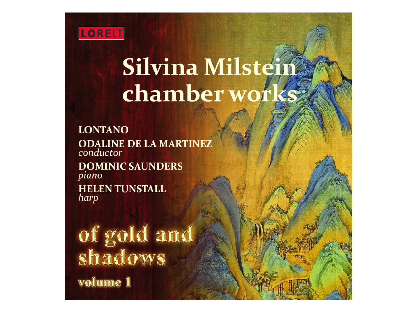

# **Silvina Milstein** chamber works

**LONTANO ODALINE DE LA MARTINEZ** conductor

**DOMINIC SAUNDERS** piano **HELEN TUNSTALL** harp

of gold and<br>shadows

volume 1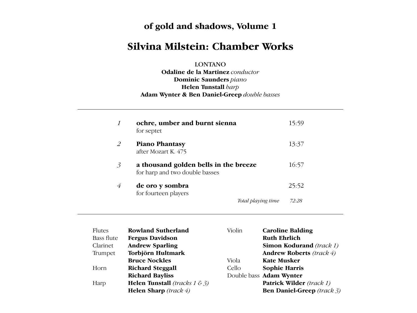#### **of gold and shadows, Volume 1** Since its foundation in 1976, **Lontano** has been Cuban American composer and conductor

#### **Silvina Milstein: Chamber Works** recognised as one of the UK's most exciting and versions of twintieth- and whistein **Odaline de la Martinez** pursues a demanding and successful cannot control control control control control control control control control control control

LONTANO  $\overline{LO}$  $\overline{S}$  symphonies to the latest content content content content content content content content content content content content content content content content content content content content content content content con

**Odaline de la Martinez** *conductor* **Dominic Saunders** piano **Helen Tunstall** *harp* Adam Wynter & Ben Daniel-Greep *double basses* also records for numerous other labels including founded her ensemble Lontano in 1976 – and

Albany Records, Summit (USA), Da Capo

| $\boldsymbol{\mathit{1}}$ | ochre, umber and burnt sienna<br>for septet                             | 15:59                       |
|---------------------------|-------------------------------------------------------------------------|-----------------------------|
| 2                         | <b>Piano Phantasy</b><br>after Mozart K. 475                            | 13:37                       |
| 3                         | a thousand golden bells in the breeze<br>for harp and two double basses | 16:57                       |
| 4                         | de oro y sombra<br>for fourteen players                                 | 25:52                       |
|                           |                                                                         | 72:28<br>Total playing time |

at the University of Surrey. With London she has  $\mathcal{L}_{\mathcal{A}}$ 

| Flutes            | <b>Rowland Sutherland</b>                  | Violin | <b>Caroline Balding</b>           |
|-------------------|--------------------------------------------|--------|-----------------------------------|
| <b>Bass flute</b> | <b>Fergus Davidson</b>                     |        | <b>Ruth Ehrlich</b>               |
| Clarinet          | <b>Andrew Sparling</b>                     |        | <b>Simon Kodurand</b> (track 1)   |
| Trumpet           | Torbjörn Hultmark                          |        | <b>Andrew Roberts</b> (track 4)   |
|                   | <b>Bruce Nockles</b>                       | Viola  | <b>Kate Musker</b>                |
| Horn              | <b>Richard Steggall</b>                    | Cello  | <b>Sophie Harris</b>              |
|                   | <b>Richard Bayliss</b>                     |        | Double bass Adam Wynter           |
| Harp              | <b>Helen Tunstall</b> (tracks $1 \&rel 3)$ |        | <b>Patrick Wilder</b> (track 1)   |
|                   | <b>Helen Sharp</b> (track $4$ )            |        | <b>Ben Daniel-Greep</b> (track 3) |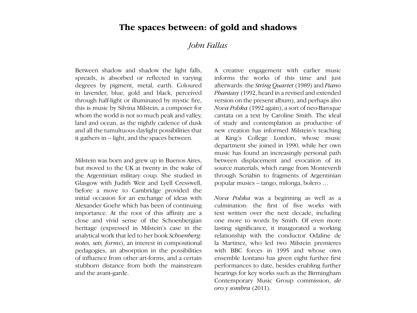## The spaces between: of gold and shadows

#### $U$  $J$ ODN is the first class honours. Hence  $J$  $\mathcal{U}$  $\frac{1}{\sqrt{2}}$  is principal harping of the is principal harping of the theorem is principal harping of the interval harping of the interval harping of the interval harping of the interval harping of the interval harping of *John Fallas*

Between shadow and shadow the light falls, spreads, is absorbed or reflected in varying degrees by pigment, metal, earth. Coloured in lavender, blue, gold and black, perceived through half-light or illuminated by mystic fire, this is music by Silvina Milstein, a composer for whom the world is not so much peak and valley, and all the tumultuous daylight possibilities that it gathers in – light, and the spaces between. land and ocean, as the nightly cadence of dusk

Milstein was born and grew up in Buenos Aires, but moved to the UK at twenty in the wake of but moved to the UK at twenty in the wake of the Argentinian military coup. She studied in Glasgow with Judith Weir and Lyell Cresswell, before a move to Cambridge provided the initial occasion for an exchange of ideas with Alexander Goehr which has been of continuing importance. At the root of this affinity are a close and vivid sense of the Schoenbergian heritage (expressed in Milstein's case in the analytical work that led to her book *Schoenberg: notes, sets, forms*), an interest in compositional pedagogies, an absorption in the possibilities of influence from other art-forms, and a certain stubborn distance from both the mainstream and the avant-garde.

A creative engagement with earlier music informs the works of this time and just afterwards: the *String Quartet* (1989) and *Piano* Phantasy (1992, heard in a revised and extended Nova Polska (1992 again), a sort of neo-Baroque cantata on a text by Caroline Smith. The ideal cantata on a text by Caroline Smith. The ideal<br>of study and contemplation as productive of new creation has informed Milstein's teaching at King's College London, whose music department she joined in 1990, while her own music has found an increasingly personal path between displacement and evocation of its source materials, which range from Monteverdi source materials, which range from Monteverdi<br>through Scriabin to fragments of Argentinian version on the present album), and perhaps also popular musics – tango, milonga, bolero …

*Nova Polska* was a beginning as well as a culmination: the first of five works with text written over the next decade, including one more to words by Smith. Of even more lasting significance, it inaugurated a working relationship with the conductor Odaline de la Martinez, who led two Milstein premieres with BBC forces in 1995 and whose own ensemble Lontano has given eight further first performances to date, besides enabling further hearings for key works such as the Birmingham Contemporary Music Group commission, *de oro y sombra* (2011).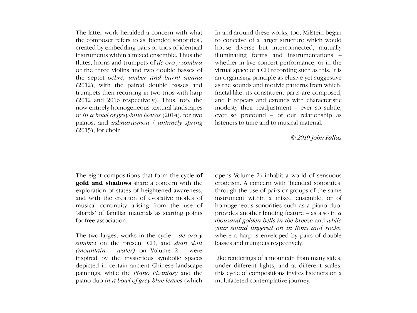The latter work heralded a concern with what the composer refers to as 'blended sonorities', to conce created by embedding pairs or trios of identical instruments within a mixed ensemble. Thus the flutes, horns and trumpets of *de oro y sombra* or the three violins and two double basses of the septet *ochre, umber and burnt sienna* (2012), with the paired double basses and trumpets then recurring in two trios with harp (2012 and 2016 respectively). Thus, too, the now entirely homogeneous textural landscapes of *in a bowl of grey-blue leaves* (2014), for two pianos, and *ushnarasmou / untimely spring* listeners to time and to musical material.  $(2015)$ , for choir. that is, not is and trainpets of a *oro y somota* whether in two concert performance, or in the or the three violins and two double basses of virtual space of a CD recording such as this. It is the septet *ochre*, *umber and burnt sienna* an organising principle as elusive yet suggestive (2012 and 2016 respectively). Thus, too, the and it repeats and extends with characteristic  $\frac{1}{2}$  striking feature of  $\frac{1}{2}$  its sense of  $\frac{1}{2}$  is sense of  $\frac{1}{2}$  is a few software of  $\frac{1}{2}$  is a few software of  $\frac{1}{2}$  is a few software of  $\frac{1}{2}$  is a few software of  $\frac{1}{2}$  is a few sof

In and around these works, too, Milstein began to conceive of a larger structure which would house diverse but interconnected, mutually illuminating forms and instrumentations – whether in live concert performance, or in the as the sounds and motivic patterns from which, fractal-like, its constituent parts are composed, modesty their readjustment – ever so subtle, ever so profound – of our relationship as listeners to time and to musical material.

*© 2019 John Fallas*

**gold and shadows** share a concern with the gold and shadows share a concern with the exploration of states of heightened awareness, and with the creation of evocative modes of musical continuity arising from the use of for free association.

remarkably close to that of the Buddha. To put it in the simplest terms, both present the view

*sombra* on the present CD, and *shan shui*. basses and trumpets respectively.  $(mountain - water)$  on Volume  $2 - were$ inspired by the mysterious symbolic spaces depicted in certain ancient Chinese landscape paintings, while the *Piano Phantasy* and the piano duo *in a bowl of grey-blue leaves* (which inspired by the mysterious symbolic spaces Like renderings of a mountain from many sides,

The eight compositions that form the cycle **of** opens Volume 2) inhabit a world of sensuous 'shards' of familiar materials as starting points provides another binding feature – as also in  $\alpha$ The two largest works in the cycle – *de oro y* where a harp is enveloped by pairs of double opens Volume 2) inhabit a world of sensuous eroticism. A concern with 'blended sonorities' through the use of pairs or groups of the same instrument within a mixed ensemble, or of musical continuity arising from the use of homogeneous sonorities such as a piano duo, provides another binding feature – as also in *a*  for free association. **Example 20** is the *thousand golden bells in the breeze* and *while* your sound lingered on in lions and rocks, where a harp is enveloped by pairs of double basses and trumpets respectively. language, we are derece as human beings. What we truly are, and what the set of the set of the set of the set of the set of the set of the set of the set of the set of the set of the set of the set of the set of the set o

> under different lights, and at different scales, this cycle of compositions invites listeners on a multifaceted contemplative journey.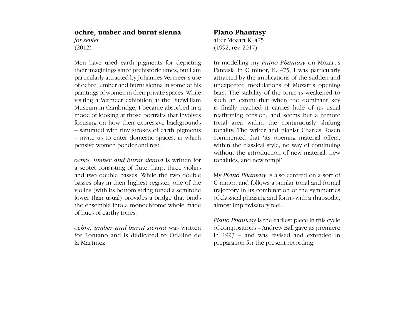## **ochre, umber and burnt sienna** *for septet* (2012)

 $\mathbf{M}_{\text{max}}$  is the participate of mysterial is to mystery:  $\mathbf{N}_{\text{max}}$   $\mathbf{N}_{\text{max}}$  is  $\mathbf{N}_{\text{max}}$  in  $\mathbf{N}_{\text{max}}$ must into the used early pigneries for depicting the incodening my *Tutto Thanasy* on Mozart's their imaginings since prehistoric times, but I am Fantasia in C minor, K. 475, I was particularly particularly attracted by Johannes Vermeer's use attracted by the implications of the sudden and parabolism, a realistical by formalised or social contracted by the implements of the station and of ochre, umber and burnt sienna in some of his unexpected modulations of Mozart's opening part reflects a visiting a Vermeer exhibition at the Fitzwilliam such an extent that when the dominant key Museum in Cambridge, I became absorbed in a is fin focusing on how their expressive backgrounds tonal area within the continuously shifting – saturated with tiny strokes of earth pigments tonality. The writer and pianist Charles Rosen - invite us to enter domestic spaces, in which commented that 'its opening material offers, Men have used earth pigments for depicting their imaginings since prehistoric times, but I am particularly attracted by Johannes Vermeer's use paintings of women in their private spaces. While visiting a Vermeer exhibition at the Fitzwilliam mode of looking at those portraits that involves focusing on how their expressive backgrounds – saturated with tiny strokes of earth pigments – invite us to enter domestic spaces, in which pensive women ponder and rest.

*ochre, umber and burnt sienna* is written for tonalities, and new tempi'. a septet consisting of flute, harp, three violins<br> Francesca Francesca Fremantle<br>the ensemble into a monochrome whole made and two double basses. While the two double basses play in their highest register, one of the violins (with its bottom string tuned a semitone lower than usual) provides a bridge that binds of hues of earthy tones.

bette, amber and barrill stemma was written to compositions – A<br>for Lontano and is dedicated to Odaline de in 1993 – and wa *ochre, umber and burnt sienna* was written la Martinez.

### **Piano Phantasy**

after Mozart K. 475 (1992, rev. 2017)

paintings of women in their private spaces. While bars. The stability of the tonic is weakened to tonal area within the continuously shifting pensive women ponder and rest. Within the classical style, no way of continuing of the composer of the performance act of the performers and listeners are performed as  $\alpha$  of the performers and listeners and listeners and listeners, who to get her performance and listeners are performed as  $\alpha$  of th In modelling my *Piano Phantasy* on Mozart's unexpected modulations of Mozart's opening is finally reached it carries little of its usual reaffirming tension, and seems but a remote tonalities, and new tempi'.

> My *Piano Phantasy* is also centred on a sort of C minor, and follows a similar tonal and formal trajectory in its combination of the symmetries of classical phrasing and forms with a rhapsodic, almost improvisatory feel.

*A renowned scholar of Santra carring tones. Piano Phantasy* is the earliest piece in this cycle Emptiness: Understanding the Tibetan Book of the Dead *(Shambhala Publications, 2001), as well as*  of compositions – Andrew Ball gave its premiere in 1993 – and was revised and extended in preparation for the present recording.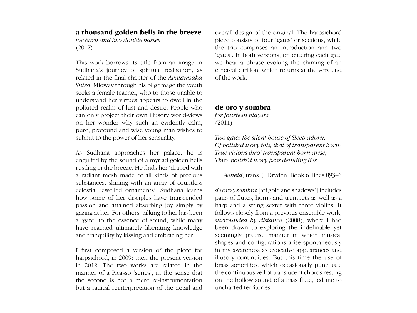## **a thousand golden bells in the breeze**

*for harp and two double basses* (2012)

This work borrows its title from an image in Sudhana's journey of spiritual realisation, as related in the final chapter of the *Avatamsaka Sutra*. Midway through his pilgrimage the youth seeks a female teacher, who to those unable to understand her virtues appears to dwell in the polluted realm of lust and desire. People who can only project their own illusory world-views on her wonder why such an evidently calm, pure, profound and wise young man wishes to submit to the power of her sensuality.

As Sudhana approaches her palace, he is engulfed by the sound of a myriad golden bells rustling in the breeze. He finds her 'draped with a radiant mesh made of all kinds of precious substances, shining with an array of countless celestial jewelled ornaments'. Sudhana learns how some of her disciples have transcended passion and attained absorbing joy simply by gazing at her. For others, talking to her has been a 'gate' to the essence of sound, while many have reached ultimately liberating knowledge and tranquility by kissing and embracing her.

I first composed a version of the piece for harpsichord, in 2009; then the present version in 2012. The two works are related in the manner of a Picasso 'series', in the sense that the second is not a mere re-instrumentation but a radical reinterpretation of the detail and overall design of the original. The harpsichord piece consists of four 'gates' or sections, while the trio comprises an introduction and two 'gates'. In both versions, on entering each gate we hear a phrase evoking the chiming of an ethereal carillon, which returns at the very end of the work.

#### **de oro y sombra** *for fourteen players*

(2011)

*Two gates the silent house of Sleep adorn; Of polish'd ivory this, that of transparent horn: True visions thro' transparent horn arise; Thro' polish'd ivory pass deluding lies.*

#### *Aeneid*, trans. J. Dryden, Book 6, lines 893–6

*de oro y sombra* ['of gold and shadows'] includes pairs of flutes, horns and trumpets as well as a harp and a string sextet with three violins. It follows closely from a previous ensemble work, *surrounded by distance* (2008), where I had been drawn to exploring the indefinable yet seemingly precise manner in which musical shapes and configurations arise spontaneously in my awareness as evocative appearances and illusory continuities. But this time the use of brass sonorities, which occasionally punctuate the continuous veil of translucent chords resting on the hollow sound of a bass flute, led me to uncharted territories.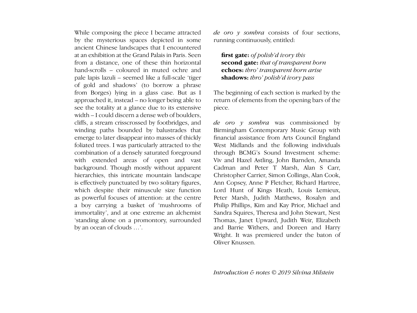While composing the piece I became attracted by the mysterious spaces depicted in some ancient Chinese landscapes that I encountered at an exhibition at the Grand Palais in Paris. Seen from a distance, one of these thin horizontal hand-scrolls – coloured in muted ochre and pale lapis lazuli – seemed like a full-scale 'tiger of gold and shadows' (to borrow a phrase from Borges) lying in a glass case. But as I approached it, instead – no longer being able to see the totality at a glance due to its extensive width – I could discern a dense web of boulders, cliffs, a stream crisscrossed by footbridges, and winding paths bounded by balustrades that emerge to later disappear into masses of thickly foliated trees. I was particularly attracted to the combination of a densely saturated foreground with extended areas of open and vast background. Though mostly without apparent hierarchies, this intricate mountain landscape is effectively punctuated by two solitary figures, which despite their minuscule size function as powerful focuses of attention: at the centre a boy carrying a basket of 'mushrooms of immortality', and at one extreme an alchemist 'standing alone on a promontory, surrounded by an ocean of clouds …'.

*de oro y sombra* consists of four sections, running continuously, entitled:

**first gate:** *of polish'd ivory this* **second gate:** *that of transparent horn* **echoes:** *thro' transparent horn arise* **shadows:** *thro' polish'd ivory pass*

The beginning of each section is marked by the return of elements from the opening bars of the piece.

*de oro y sombra* was commissioned by Birmingham Contemporary Music Group with financial assistance from Arts Council England West Midlands and the following individuals through BCMG's Sound Investment scheme: Viv and Hazel Astling, John Barnden, Amanda Cadman and Peter T Marsh, Alan S Carr, Christopher Carrier, Simon Collings, Alan Cook, Ann Copsey, Anne P Fletcher, Richard Hartree, Lord Hunt of Kings Heath, Louis Lemieux, Peter Marsh, Judith Matthews, Rosalyn and Philip Phillips, Kim and Kay Prior, Michael and Sandra Squires, Theresa and John Stewart, Nest Thomas, Janet Upward, Judith Weir, Elizabeth and Barrie Withers, and Doreen and Harry Wright. It was premiered under the baton of Oliver Knussen.

*Introduction & notes © 2019 Silvina Milstein*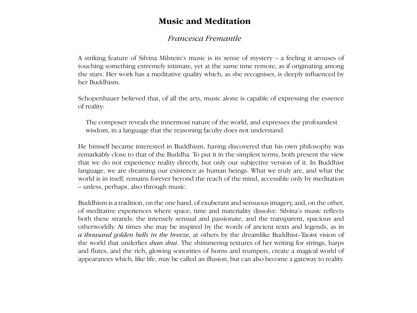## **Music and Meditation**

#### **Francesca Fremantle** The latter work heralded a concern with what In and around these works, too, Milstein began  $<sub>matile</sub>$ </sub>

A striking feature of Silvina Milstein's music is its sense of mystery – a feeling it arouses of for samily related of samily intimately of *defined* to the same time remote, as if originating among to determine the same time remote, as if originating among the stars. Her work has a meditative quality which, as she recognises, is deeply influenced by her Buddhism. the stats. Her work has a meditative quality vierture une renove, as a crigarature anong  $\mu$ , as she recognises, is deeply immunically

Schopenhauer believed that, of all the arts, music alone is capable of expressing the essence of reality: trumpets then recurring in two trios with harp Schopenhauer believed that, of all the arts, r fractal-like, its constituent parts are composed, c alone is capable of expressing the essence

The composer reveals the innermost nature of the world, and expresses the profoundest wisdom, in a language that the reasoning faculty does not understand.

He himself became interested in Buddhism, having discovered that his own philosophy was remarkably close to that of the Buddha. To put it in the simplest terms, both present the view that we do not experience reality directly, but only our subjective version of it. In Buddhist language, we are dreaming our existence as human beings. What we truly are, and what the world is in itself, remains forever beyond the reach of the mind, accessible only by meditation word is in hist, remains forever beyond the unless, perhaps, also through music.  $uncos$ , perhaps, also through music. er of the thing, accessible only by incurrently

Buddhism is a tradition, on the one hand, of exuberant and sensuous imagery, and, on the other, of meditative experiences where space, time and materiality dissolve. Silvina's music reflects both these strands: the intensely sensual and passionate, and the transparent, spacious and otherworldly. At times she may be inspired by the words of ancient texts and legends, as in a thousand golden bells in the breeze, at others by the dreamlike Buddhist–Taoist vision of the world that underlies *shan shui*. The shimmering textures of her writing for strings, harps and flutes, and the rich, glowing sonorities of horns and trumpets, create a magical world of appearances which, like life, may be called an illusion, but can also become a gateway to reality. and with the creative modes of evocative modes of  $\mathbf{r} = \mathbf{r} - \mathbf{r}$  $\mu$  musical continuity arise of  $\epsilon$  and  $\epsilon$  of  $\epsilon$ instrument with a mixed ensemble, or of  $\alpha$  mixed ensemble, or of  $\alpha$  $\frac{1}{2}$  and sensuous imagery, and, on the other,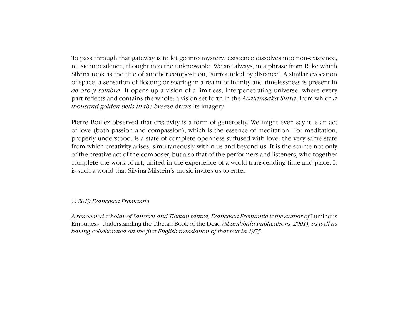plase an ought may gave my *n* to tet go mite mystery canceled also show non emistence, music into silence, thought into the unknowable. We are always, in a phrase from Rilke which maste the sherice, thought the distribution. We are aways, in a phase from time when<br>Silvina took as the title of another composition, 'surrounded by distance'. A similar evocation  $\frac{1}{2}$  particular at the  $\frac{1}{2}$  and  $\frac{1}{2}$  compositive of space, a sensation of hoating of soaring in *de oro y sombra*. It opens up a vision of a limitless, interpenetrating universe, where every part reflects and contains the whole: a vision set forth in the *Avatamsaka Sutra*, from which *a thousand golden bells in the breeze* draws its imagery.  $\frac{1}{1}$  c  $\frac{1}{2}$  c the sudden and  $\frac{1}{2}$  summarized by  $\frac{1}{2}$  sudden and  $\frac{1}{2}$ of space, a sensation of floating or soaring in a realm of infinity and timelessness is present in is finally reached its usual carriers in the its usual carriers in the its usual carriers in the its usual carriers in the intervals of  $\alpha$ To pass through that gateway is to let go into mystery: existence dissolves into non-existence,

Pierre Boulez observed that creativity is a form of generosity. We might even say it is an act Pierre Boulez observed that creativity is a form of generosity. We might even say it is an act<br>of love (both passion and compassion), which is the essence of meditation. For meditation, properly understood, is a state of complete openness suffused with love: the very same state from which creativity arises, simultaneously within us and beyond us. It is the source not only complete the work of art, united in the experience of a world transcending time and place. It is such a world that Silvina Milstein's music invites us to enter. and two double bases is two double bases of two double the two double the two double the two double the two double the two double the two double the two double the two double the two double the two double the two double th of the creative act of the composer, but also that of the performers and listeners, who together My *Piano Phantasy* is also centred on a sort of

#### lower than usual) provides a bridge that binds *© 2019 Francesca Fremantle*  $\approx$  2017 Trancesca Fremanne

.<br>*A renowned scholar of Sanskrit and Tibetan tantra, Francesca Fremantle is the author of* Luminous *baning and bonated on the first English mandat* baving collaborated on the first English translation of that text in 1975. *Pianosca Pichantas* is the advisor of Edminitian Emptiness: Understanding the Tibetan Book of the Dead *(Shambhala Publications, 2001), as well as*<br>having as llaborated on the first Fuglish translation of that tort in 1975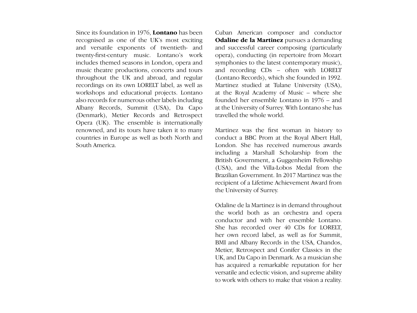Since its foundation in 1976, **Lontano** has been recognised as one of the UK's most exciting and versatile exponents of twentieth- and twenty-first-century music. Lontano's work includes themed seasons in London, opera and music theatre productions, concerts and tours throughout the UK and abroad, and regular recordings on its own LORELT label, as well as workshops and educational projects. Lontano also records for numerous other labels including Albany Records, Summit (USA), Da Capo (Denmark), Metier Records and Retrospect Opera (UK). The ensemble is internationally renowned, and its tours have taken it to many countries in Europe as well as both North and South America.

Cuban American composer and conductor **Odaline de la Martinez** pursues a demanding between the state most entiting to the substitution personal commutation of twentieth- and and successful career composing (particularly opera), conducting (in repertoire from Mozart and symphonies to the latest contemporary music), neerts and tours and recording CDs – often with LORELT **h** regular (Lontano Records), which she founded in 1992. s well as Martinez studied at Tulane University (USA), ional projects. Lontano at the Royal Academy of Music – where she founded her ensemble Lontano in 1976 – and at the University of Surrey. With Lontano she has travelled the whole world. **of gold and shadows, Volume 1**

Martinez was the first woman in history to conduct a BBC Prom at the Royal Albert Hall, London. She has received numerous awards including a Marshall Scholarship from the British Government, a Guggenheim Fellowship Ernah Sovernment, a suggerment renowing (USA), and the Villa-Lobos Medal from the Brazilian Government. In 2017 Martinez was the recipient of a Lifetime Achievement Award from the University of Summary the University of Surrey. for harp and two double bases of two double bases of two double bases of two double bases of two double bases

Odaline de la Martinez is in demand throughout *Total playing time 72:28* the world both as an orchestra and opera conductor and with her ensemble Lontano. She has recorded over 40 CDs for LORELT, her own record label, as well as for Summit, BMI and Albany Records in the USA, Chandos, Metier, Retrospect and Conifer Classics in the UK, and Da Capo in Denmark. As a musician she has acquired a remarkable reputation for her versatile and eclectic vision, and supreme ability to work with others to make that vision a reality.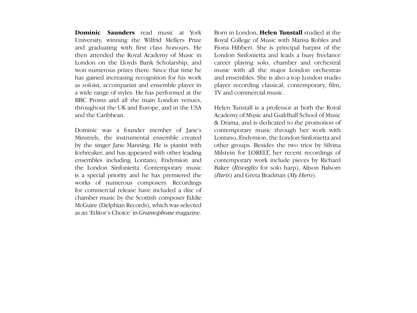and graduating with first class honours. He Fiona won numerous prizes there. Since that time he has gained increasing recognition for his work as soloist, accompanist and ensemble player in a wide range of styles. He has performed at the BBC Proms and all the main London venues, throughout the UK and Europe, and in the USA and the Caribbean. **Dominic Saunders** read music at York University, winning the Wilfrid Mellers Prize then attended the Royal Academy of Music in London on the Lloyds Bank Scholarship, and

Dominic was a founder member of Jane's Minstrels, the instrumental ensemble created. ensembles including Lontano, Endymion and the London Sinfonietta. Contemporary music the London Sinfonietta. Contemporary music is a special priority and he has premiered the works of numerous composers. Recordings for commercial release have included a disc of chamber music by the Scottish composer Eddie McGuire (Delphian Records), which was selected as an 'Editor's Choice' in *Gramophone* magazine. by the singer Jane Manning. He is pianist with Icebreaker, and has appeared with other leading

**nders** read music at York Born in London, **Helen Tunstall** studied at the music with all the major London orchestras and ensembles. She is also a top London studio player recording classical, contemporary, film, TV and commercial music. Royal College of Music with Marisa Robles and Fiona Hibbert. She is principal harpist of the London Sinfonietta and leads a busy freelance career playing solo, chamber and orchestral

> Helen Tunstall is a professor at both the Royal Academy of Music and Guildhall School of Music Academy of Music and Guildhall School of Music<br>& Drama, and is dedicated to the promotion of contemporary music through her work with Lontano, Endymion, the London Sinfonietta and other groups. Besides the two trios by Silvina Milstein for LORELT, her recent recordings of contemporary work include pieces by Richard Baker (*Risveglio* for solo harp), Alison Balsom<br>(*Paris*) and Greta Bradman (*My Hero*). (*Paris*) and Greta Bradman ( $My$  *Hero*).